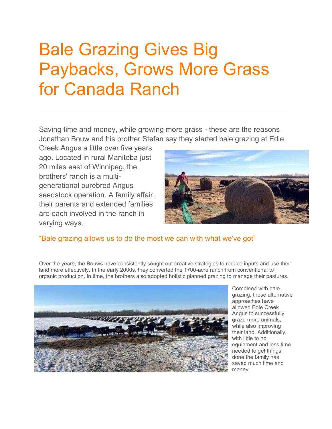## Bale Grazing Gives Big Paybacks, Grows More Grass for Canada Ranch

Saving time and money, while growing more grass - these are the reasons Jonathan Bouw and his brother Stefan say they started bale grazing at Edie

Creek Angus a little over five years ago. Located in rural Manitoba just 20 miles east of Winnipeg, the brothers' ranch is a multigenerational purebred Angus seedstock operation. A family affair, their parents and extended families are each involved in the ranch in varying ways.



## "Bale grazing allows us to do the most we can with what we've got"

Over the years, the Bouws have consistently sought out creative strategies to reduce inputs and use their land more effectively. In the early 2000s, they converted the 1700-acre ranch from conventional to organic production. In time, the brothers also adopted holistic planned grazing to manage their pastures.



Combined with bale grazing, these alternative approaches have allowed Edie Creek Angus to successfully graze more animals, while also improving their land. Additionally, with little to no equipment and less time needed to get things done the family has saved much time and money.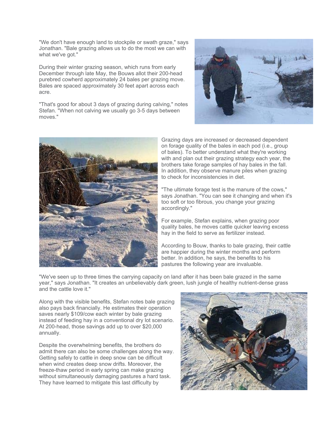"We don't have enough land to stockpile or swath graze," says Jonathan. "Bale grazing allows us to do the most we can with what we've got."

During their winter grazing season, which runs from early December through late May, the Bouws allot their 200-head purebred cowherd approximately 24 bales per grazing move. Bales are spaced approximately 30 feet apart across each acre.

"That's good for about 3 days of grazing during calving," notes Stefan. "When not calving we usually go 3-5 days between moves."





Grazing days are increased or decreased dependent on forage quality of the bales in each pod (i.e., group of bales). To better understand what they're working with and plan out their grazing strategy each year, the brothers take forage samples of hay bales in the fall. In addition, they observe manure piles when grazing to check for inconsistencies in diet.

"The ultimate forage test is the manure of the cows," says Jonathan. "You can see it changing and when it's too soft or too fibrous, you change your grazing accordingly."

For example, Stefan explains, when grazing poor quality bales, he moves cattle quicker leaving excess hay in the field to serve as fertilizer instead.

According to Bouw, thanks to bale grazing, their cattle are happier during the winter months and perform better. In addition, he says, the benefits to his pastures the following year are invaluable.

"We've seen up to three times the carrying capacity on land after it has been bale grazed in the same year," says Jonathan. "It creates an unbelievably dark green, lush jungle of healthy nutrient-dense grass and the cattle love it."

Along with the visible benefits, Stefan notes bale grazing also pays back financially. He estimates their operation saves nearly \$109/cow each winter by bale grazing instead of feeding hay in a conventional dry lot scenario. At 200-head, those savings add up to over \$20,000 annually.

Despite the overwhelming benefits, the brothers do admit there can also be some challenges along the way. Getting safely to cattle in deep snow can be difficult when wind creates deep snow drifts. Moreover, the freeze-thaw period in early spring can make grazing without simultaneously damaging pastures a hard task. They have learned to mitigate this last difficulty by